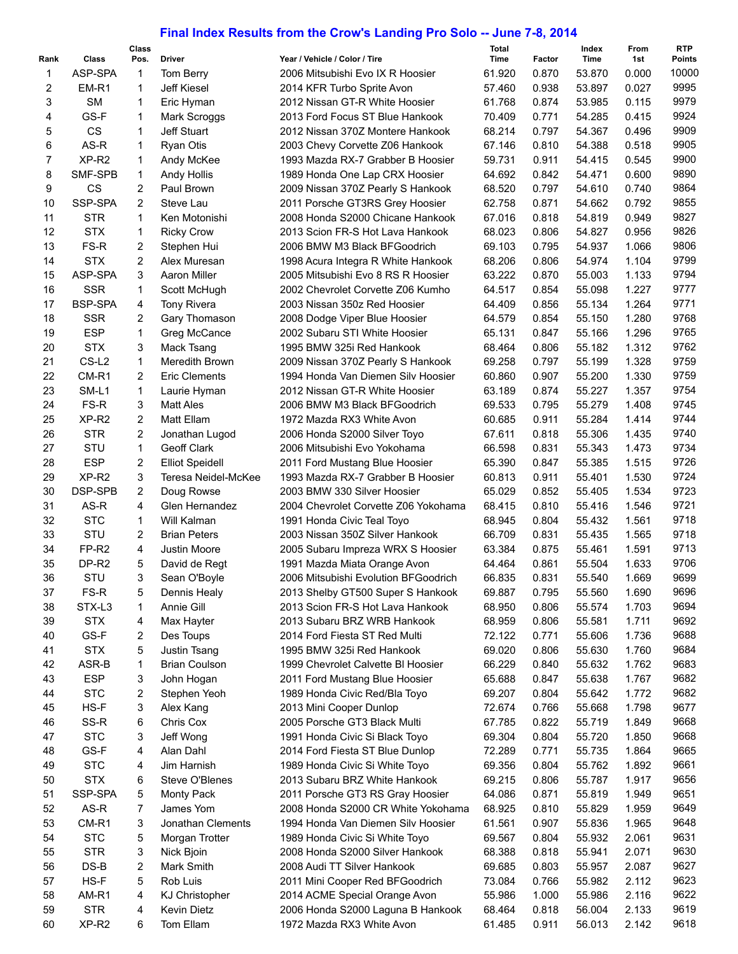## **Final Index Results from the Crow's Landing Pro Solo -- June 7-8, 2014**

| Rank | Class             | Class<br>Pos.           | <b>Driver</b>          | Year / Vehicle / Color / Tire        | <b>Total</b><br>Time | Factor | Index<br>Time | From<br>1st | <b>RTP</b><br><b>Points</b> |
|------|-------------------|-------------------------|------------------------|--------------------------------------|----------------------|--------|---------------|-------------|-----------------------------|
| 1    | ASP-SPA           | $\mathbf{1}$            | Tom Berry              | 2006 Mitsubishi Evo IX R Hoosier     | 61.920               | 0.870  | 53.870        | 0.000       | 10000                       |
| 2    | EM-R1             | $\mathbf{1}$            | <b>Jeff Kiesel</b>     | 2014 KFR Turbo Sprite Avon           | 57.460               | 0.938  | 53.897        | 0.027       | 9995                        |
| 3    | <b>SM</b>         | 1                       | Eric Hyman             | 2012 Nissan GT-R White Hoosier       | 61.768               | 0.874  | 53.985        | 0.115       | 9979                        |
| 4    | GS-F              | 1                       | Mark Scroggs           | 2013 Ford Focus ST Blue Hankook      | 70.409               | 0.771  | 54.285        | 0.415       | 9924                        |
|      | <b>CS</b>         | 1                       | Jeff Stuart            | 2012 Nissan 370Z Montere Hankook     | 68.214               | 0.797  | 54.367        | 0.496       | 9909                        |
| 5    |                   |                         |                        |                                      |                      |        |               |             | 9905                        |
| 6    | AS-R              | 1                       | <b>Ryan Otis</b>       | 2003 Chevy Corvette Z06 Hankook      | 67.146               | 0.810  | 54.388        | 0.518       |                             |
| 7    | XP-R <sub>2</sub> | 1                       | Andy McKee             | 1993 Mazda RX-7 Grabber B Hoosier    | 59.731               | 0.911  | 54.415        | 0.545       | 9900                        |
| 8    | SMF-SPB           | 1                       | Andy Hollis            | 1989 Honda One Lap CRX Hoosier       | 64.692               | 0.842  | 54.471        | 0.600       | 9890                        |
| 9    | <b>CS</b>         | 2                       | Paul Brown             | 2009 Nissan 370Z Pearly S Hankook    | 68.520               | 0.797  | 54.610        | 0.740       | 9864                        |
| 10   | SSP-SPA           | $\overline{c}$          | Steve Lau              | 2011 Porsche GT3RS Grey Hoosier      | 62.758               | 0.871  | 54.662        | 0.792       | 9855                        |
| 11   | <b>STR</b>        | $\mathbf{1}$            | Ken Motonishi          | 2008 Honda S2000 Chicane Hankook     | 67.016               | 0.818  | 54.819        | 0.949       | 9827                        |
| 12   | <b>STX</b>        | 1                       | <b>Ricky Crow</b>      | 2013 Scion FR-S Hot Lava Hankook     | 68.023               | 0.806  | 54.827        | 0.956       | 9826                        |
| 13   | FS-R              | $\overline{\mathbf{c}}$ | Stephen Hui            | 2006 BMW M3 Black BFGoodrich         | 69.103               | 0.795  | 54.937        | 1.066       | 9806                        |
| 14   | <b>STX</b>        | $\overline{c}$          | Alex Muresan           | 1998 Acura Integra R White Hankook   | 68.206               | 0.806  | 54.974        | 1.104       | 9799                        |
| 15   | ASP-SPA           | 3                       | <b>Aaron Miller</b>    | 2005 Mitsubishi Evo 8 RS R Hoosier   | 63.222               | 0.870  | 55.003        | 1.133       | 9794                        |
| 16   | <b>SSR</b>        | $\mathbf{1}$            | Scott McHugh           | 2002 Chevrolet Corvette Z06 Kumho    | 64.517               | 0.854  | 55.098        | 1.227       | 9777                        |
| 17   | <b>BSP-SPA</b>    | 4                       | <b>Tony Rivera</b>     | 2003 Nissan 350z Red Hoosier         | 64.409               | 0.856  | 55.134        | 1.264       | 9771                        |
| 18   | <b>SSR</b>        | 2                       | Gary Thomason          | 2008 Dodge Viper Blue Hoosier        | 64.579               | 0.854  | 55.150        | 1.280       | 9768                        |
| 19   | <b>ESP</b>        | 1                       | Greg McCance           | 2002 Subaru STI White Hoosier        | 65.131               | 0.847  | 55.166        | 1.296       | 9765                        |
| 20   | <b>STX</b>        | 3                       | Mack Tsang             | 1995 BMW 325i Red Hankook            | 68.464               | 0.806  | 55.182        | 1.312       | 9762                        |
| 21   | CS-L <sub>2</sub> | $\mathbf{1}$            | Meredith Brown         | 2009 Nissan 370Z Pearly S Hankook    | 69.258               | 0.797  | 55.199        | 1.328       | 9759                        |
| 22   | CM-R1             | $\overline{2}$          | <b>Eric Clements</b>   | 1994 Honda Van Diemen Silv Hoosier   | 60.860               | 0.907  | 55.200        | 1.330       | 9759                        |
| 23   | SM-L1             | 1                       |                        | 2012 Nissan GT-R White Hoosier       | 63.189               | 0.874  |               | 1.357       | 9754                        |
|      |                   |                         | Laurie Hyman           |                                      |                      |        | 55.227        |             |                             |
| 24   | FS-R              | 3                       | <b>Matt Ales</b>       | 2006 BMW M3 Black BFGoodrich         | 69.533               | 0.795  | 55.279        | 1.408       | 9745                        |
| 25   | XP-R2             | $\overline{2}$          | Matt Ellam             | 1972 Mazda RX3 White Avon            | 60.685               | 0.911  | 55.284        | 1.414       | 9744                        |
| 26   | <b>STR</b>        | $\overline{c}$          | Jonathan Lugod         | 2006 Honda S2000 Silver Toyo         | 67.611               | 0.818  | 55.306        | 1.435       | 9740                        |
| 27   | STU               | 1                       | Geoff Clark            | 2006 Mitsubishi Evo Yokohama         | 66.598               | 0.831  | 55.343        | 1.473       | 9734                        |
| 28   | <b>ESP</b>        | 2                       | <b>Elliot Speidell</b> | 2011 Ford Mustang Blue Hoosier       | 65.390               | 0.847  | 55.385        | 1.515       | 9726                        |
| 29   | XP-R2             | 3                       | Teresa Neidel-McKee    | 1993 Mazda RX-7 Grabber B Hoosier    | 60.813               | 0.911  | 55.401        | 1.530       | 9724                        |
| 30   | DSP-SPB           | $\overline{2}$          | Doug Rowse             | 2003 BMW 330 Silver Hoosier          | 65.029               | 0.852  | 55.405        | 1.534       | 9723                        |
| 31   | AS-R              | 4                       | Glen Hernandez         | 2004 Chevrolet Corvette Z06 Yokohama | 68.415               | 0.810  | 55.416        | 1.546       | 9721                        |
| 32   | <b>STC</b>        | $\mathbf{1}$            | Will Kalman            | 1991 Honda Civic Teal Toyo           | 68.945               | 0.804  | 55.432        | 1.561       | 9718                        |
| 33   | STU               | 2                       | <b>Brian Peters</b>    | 2003 Nissan 350Z Silver Hankook      | 66.709               | 0.831  | 55.435        | 1.565       | 9718                        |
| 34   | FP-R2             | 4                       | Justin Moore           | 2005 Subaru Impreza WRX S Hoosier    | 63.384               | 0.875  | 55.461        | 1.591       | 9713                        |
| 35   | DP-R2             | 5                       | David de Regt          | 1991 Mazda Miata Orange Avon         | 64.464               | 0.861  | 55.504        | 1.633       | 9706                        |
| 36   | STU               | 3                       | Sean O'Boyle           | 2006 Mitsubishi Evolution BFGoodrich | 66.835               | 0.831  | 55.540        | 1.669       | 9699                        |
| 37   | FS-R              | 5                       | Dennis Healy           | 2013 Shelby GT500 Super S Hankook    | 69.887               | 0.795  | 55.560        | 1.690       | 9696                        |
| 38   | STX-L3            | 1                       | Annie Gill             | 2013 Scion FR-S Hot Lava Hankook     | 68.950               | 0.806  | 55.574        | 1.703       | 9694                        |
| 39   | <b>STX</b>        | 4                       | Max Hayter             | 2013 Subaru BRZ WRB Hankook          | 68.959               | 0.806  | 55.581        | 1.711       | 9692                        |
| 40   | GS-F              | 2                       | Des Toups              | 2014 Ford Fiesta ST Red Multi        | 72.122               | 0.771  | 55.606        | 1.736       | 9688                        |
| 41   | <b>STX</b>        | 5                       | Justin Tsang           | 1995 BMW 325i Red Hankook            | 69.020               | 0.806  | 55.630        | 1.760       | 9684                        |
| 42   | ASR-B             | 1                       | <b>Brian Coulson</b>   | 1999 Chevrolet Calvette BI Hoosier   | 66.229               | 0.840  | 55.632        | 1.762       | 9683                        |
| 43   | <b>ESP</b>        | 3                       | John Hogan             | 2011 Ford Mustang Blue Hoosier       | 65.688               | 0.847  | 55.638        | 1.767       | 9682                        |
| 44   | <b>STC</b>        | 2                       | Stephen Yeoh           | 1989 Honda Civic Red/Bla Toyo        | 69.207               | 0.804  | 55.642        | 1.772       | 9682                        |
| 45   | HS-F              | 3                       | Alex Kang              | 2013 Mini Cooper Dunlop              | 72.674               | 0.766  | 55.668        | 1.798       | 9677                        |
| 46   | SS-R              | 6                       | Chris Cox              | 2005 Porsche GT3 Black Multi         | 67.785               | 0.822  | 55.719        | 1.849       | 9668                        |
| 47   | <b>STC</b>        | 3                       | Jeff Wong              | 1991 Honda Civic Si Black Toyo       | 69.304               | 0.804  | 55.720        | 1.850       | 9668                        |
| 48   | GS-F              | 4                       | Alan Dahl              | 2014 Ford Fiesta ST Blue Dunlop      | 72.289               | 0.771  | 55.735        | 1.864       | 9665                        |
|      |                   |                         |                        |                                      |                      |        |               |             |                             |
| 49   | <b>STC</b>        | 4                       | Jim Harnish            | 1989 Honda Civic Si White Toyo       | 69.356               | 0.804  | 55.762        | 1.892       | 9661                        |
| 50   | <b>STX</b>        | 6                       | Steve O'Blenes         | 2013 Subaru BRZ White Hankook        | 69.215               | 0.806  | 55.787        | 1.917       | 9656                        |
| 51   | SSP-SPA           | 5                       | <b>Monty Pack</b>      | 2011 Porsche GT3 RS Gray Hoosier     | 64.086               | 0.871  | 55.819        | 1.949       | 9651                        |
| 52   | AS-R              | 7                       | James Yom              | 2008 Honda S2000 CR White Yokohama   | 68.925               | 0.810  | 55.829        | 1.959       | 9649                        |
| 53   | CM-R1             | 3                       | Jonathan Clements      | 1994 Honda Van Diemen Silv Hoosier   | 61.561               | 0.907  | 55.836        | 1.965       | 9648                        |
| 54   | <b>STC</b>        | 5                       | Morgan Trotter         | 1989 Honda Civic Si White Toyo       | 69.567               | 0.804  | 55.932        | 2.061       | 9631                        |
| 55   | <b>STR</b>        | 3                       | Nick Bjoin             | 2008 Honda S2000 Silver Hankook      | 68.388               | 0.818  | 55.941        | 2.071       | 9630                        |
| 56   | DS-B              | 2                       | Mark Smith             | 2008 Audi TT Silver Hankook          | 69.685               | 0.803  | 55.957        | 2.087       | 9627                        |
| 57   | HS-F              | 5                       | Rob Luis               | 2011 Mini Cooper Red BFGoodrich      | 73.084               | 0.766  | 55.982        | 2.112       | 9623                        |
| 58   | AM-R1             | 4                       | <b>KJ Christopher</b>  | 2014 ACME Special Orange Avon        | 55.986               | 1.000  | 55.986        | 2.116       | 9622                        |
| 59   | <b>STR</b>        | 4                       | Kevin Dietz            | 2006 Honda S2000 Laguna B Hankook    | 68.464               | 0.818  | 56.004        | 2.133       | 9619                        |
| 60   | XP-R <sub>2</sub> | 6                       | Tom Ellam              | 1972 Mazda RX3 White Avon            | 61.485               | 0.911  | 56.013        | 2.142       | 9618                        |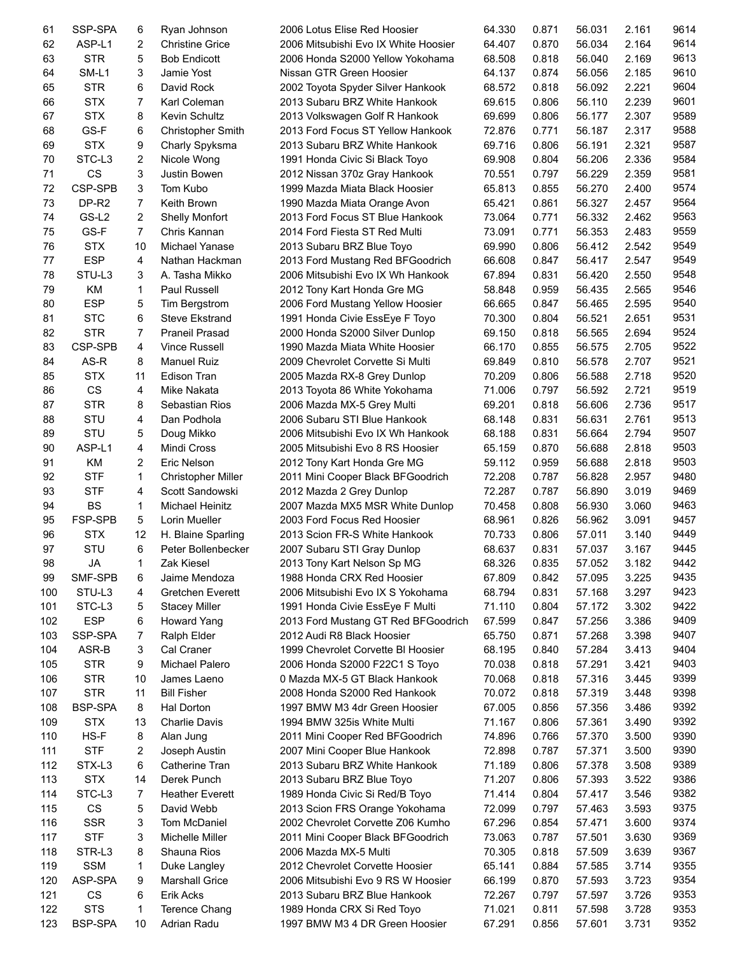| 61  | SSP-SPA            | 6              | Ryan Johnson              | 2006 Lotus Elise Red Hoosier         | 64.330 | 0.871 | 56.031 | 2.161 | 9614 |
|-----|--------------------|----------------|---------------------------|--------------------------------------|--------|-------|--------|-------|------|
| 62  | ASP-L1             | 2              | <b>Christine Grice</b>    | 2006 Mitsubishi Evo IX White Hoosier | 64.407 | 0.870 | 56.034 | 2.164 | 9614 |
| 63  | <b>STR</b>         | 5              | <b>Bob Endicott</b>       | 2006 Honda S2000 Yellow Yokohama     | 68.508 | 0.818 | 56.040 | 2.169 | 9613 |
| 64  | SM-L1              | 3              | Jamie Yost                | Nissan GTR Green Hoosier             | 64.137 | 0.874 | 56.056 | 2.185 | 9610 |
| 65  | <b>STR</b>         | 6              | David Rock                | 2002 Toyota Spyder Silver Hankook    | 68.572 | 0.818 | 56.092 | 2.221 | 9604 |
| 66  | <b>STX</b>         | $\overline{7}$ | Karl Coleman              | 2013 Subaru BRZ White Hankook        | 69.615 | 0.806 | 56.110 | 2.239 | 9601 |
| 67  | <b>STX</b>         | 8              | Kevin Schultz             | 2013 Volkswagen Golf R Hankook       | 69.699 | 0.806 | 56.177 | 2.307 | 9589 |
| 68  | GS-F               | 6              | <b>Christopher Smith</b>  | 2013 Ford Focus ST Yellow Hankook    | 72.876 | 0.771 | 56.187 | 2.317 | 9588 |
| 69  | <b>STX</b>         | 9              | Charly Spyksma            | 2013 Subaru BRZ White Hankook        | 69.716 | 0.806 | 56.191 | 2.321 | 9587 |
| 70  | STC-L <sub>3</sub> | 2              | Nicole Wong               | 1991 Honda Civic Si Black Toyo       | 69.908 | 0.804 | 56.206 | 2.336 | 9584 |
| 71  | <b>CS</b>          | 3              | Justin Bowen              | 2012 Nissan 370z Gray Hankook        | 70.551 | 0.797 | 56.229 | 2.359 | 9581 |
| 72  | CSP-SPB            | 3              | Tom Kubo                  | 1999 Mazda Miata Black Hoosier       | 65.813 | 0.855 | 56.270 | 2.400 | 9574 |
| 73  | DP-R2              | $\overline{7}$ | Keith Brown               | 1990 Mazda Miata Orange Avon         | 65.421 | 0.861 | 56.327 | 2.457 | 9564 |
| 74  | GS-L <sub>2</sub>  | 2              | <b>Shelly Monfort</b>     | 2013 Ford Focus ST Blue Hankook      | 73.064 | 0.771 | 56.332 | 2.462 | 9563 |
| 75  | GS-F               | $\overline{7}$ | Chris Kannan              | 2014 Ford Fiesta ST Red Multi        | 73.091 | 0.771 | 56.353 | 2.483 | 9559 |
| 76  | <b>STX</b>         | 10             | Michael Yanase            | 2013 Subaru BRZ Blue Toyo            | 69.990 | 0.806 | 56.412 | 2.542 | 9549 |
| 77  | <b>ESP</b>         | 4              | Nathan Hackman            | 2013 Ford Mustang Red BFGoodrich     | 66.608 | 0.847 | 56.417 | 2.547 | 9549 |
| 78  | STU-L3             | 3              | A. Tasha Mikko            | 2006 Mitsubishi Evo IX Wh Hankook    | 67.894 | 0.831 | 56.420 | 2.550 | 9548 |
| 79  | KM                 | 1              | Paul Russell              | 2012 Tony Kart Honda Gre MG          | 58.848 | 0.959 | 56.435 | 2.565 | 9546 |
| 80  | <b>ESP</b>         | 5              | Tim Bergstrom             | 2006 Ford Mustang Yellow Hoosier     | 66.665 | 0.847 | 56.465 | 2.595 | 9540 |
| 81  | <b>STC</b>         | 6              | <b>Steve Ekstrand</b>     | 1991 Honda Civie EssEye F Toyo       | 70.300 | 0.804 | 56.521 | 2.651 | 9531 |
| 82  | <b>STR</b>         | $\overline{7}$ | <b>Praneil Prasad</b>     |                                      | 69.150 | 0.818 | 56.565 | 2.694 | 9524 |
|     | CSP-SPB            | 4              | <b>Vince Russell</b>      | 2000 Honda S2000 Silver Dunlop       | 66.170 | 0.855 |        |       | 9522 |
| 83  |                    |                |                           | 1990 Mazda Miata White Hoosier       |        |       | 56.575 | 2.705 | 9521 |
| 84  | AS-R               | 8              | <b>Manuel Ruiz</b>        | 2009 Chevrolet Corvette Si Multi     | 69.849 | 0.810 | 56.578 | 2.707 |      |
| 85  | <b>STX</b>         | 11             | Edison Tran               | 2005 Mazda RX-8 Grey Dunlop          | 70.209 | 0.806 | 56.588 | 2.718 | 9520 |
| 86  | CS                 | 4              | Mike Nakata               | 2013 Toyota 86 White Yokohama        | 71.006 | 0.797 | 56.592 | 2.721 | 9519 |
| 87  | <b>STR</b>         | 8              | Sebastian Rios            | 2006 Mazda MX-5 Grey Multi           | 69.201 | 0.818 | 56.606 | 2.736 | 9517 |
| 88  | STU                | 4              | Dan Podhola               | 2006 Subaru STI Blue Hankook         | 68.148 | 0.831 | 56.631 | 2.761 | 9513 |
| 89  | STU                | 5              | Doug Mikko                | 2006 Mitsubishi Evo IX Wh Hankook    | 68.188 | 0.831 | 56.664 | 2.794 | 9507 |
| 90  | ASP-L1             | 4              | <b>Mindi Cross</b>        | 2005 Mitsubishi Evo 8 RS Hoosier     | 65.159 | 0.870 | 56.688 | 2.818 | 9503 |
| 91  | KM                 | $\overline{c}$ | Eric Nelson               | 2012 Tony Kart Honda Gre MG          | 59.112 | 0.959 | 56.688 | 2.818 | 9503 |
| 92  | <b>STF</b>         | 1              | <b>Christopher Miller</b> | 2011 Mini Cooper Black BFGoodrich    | 72.208 | 0.787 | 56.828 | 2.957 | 9480 |
| 93  | <b>STF</b>         | 4              | Scott Sandowski           | 2012 Mazda 2 Grey Dunlop             | 72.287 | 0.787 | 56.890 | 3.019 | 9469 |
| 94  | <b>BS</b>          | $\mathbf{1}$   | <b>Michael Heinitz</b>    | 2007 Mazda MX5 MSR White Dunlop      | 70.458 | 0.808 | 56.930 | 3.060 | 9463 |
| 95  | FSP-SPB            | 5              | Lorin Mueller             | 2003 Ford Focus Red Hoosier          | 68.961 | 0.826 | 56.962 | 3.091 | 9457 |
| 96  | <b>STX</b>         | 12             | H. Blaine Sparling        | 2013 Scion FR-S White Hankook        | 70.733 | 0.806 | 57.011 | 3.140 | 9449 |
| 97  | STU                | 6              | Peter Bollenbecker        | 2007 Subaru STI Gray Dunlop          | 68.637 | 0.831 | 57.037 | 3.167 | 9445 |
| 98  | JA                 | $\mathbf{1}$   | Zak Kiesel                | 2013 Tony Kart Nelson Sp MG          | 68.326 | 0.835 | 57.052 | 3.182 | 9442 |
| 99  | SMF-SPB            | 6              | Jaime Mendoza             | 1988 Honda CRX Red Hoosier           | 67.809 | 0.842 | 57.095 | 3.225 | 9435 |
| 100 | STU-L3             | 4              | Gretchen Everett          | 2006 Mitsubishi Evo IX S Yokohama    | 68.794 | 0.831 | 57.168 | 3.297 | 9423 |
| 101 | STC-L <sub>3</sub> | 5              | <b>Stacey Miller</b>      | 1991 Honda Civie EssEye F Multi      | 71.110 | 0.804 | 57.172 | 3.302 | 9422 |
| 102 | <b>ESP</b>         | 6              | <b>Howard Yang</b>        | 2013 Ford Mustang GT Red BFGoodrich  | 67.599 | 0.847 | 57.256 | 3.386 | 9409 |
| 103 | SSP-SPA            | 7              | Ralph Elder               | 2012 Audi R8 Black Hoosier           | 65.750 | 0.871 | 57.268 | 3.398 | 9407 |
| 104 | ASR-B              | 3              | Cal Craner                | 1999 Chevrolet Corvette BI Hoosier   | 68.195 | 0.840 | 57.284 | 3.413 | 9404 |
| 105 | <b>STR</b>         | 9              | Michael Palero            | 2006 Honda S2000 F22C1 S Toyo        | 70.038 | 0.818 | 57.291 | 3.421 | 9403 |
| 106 | <b>STR</b>         | 10             | James Laeno               | 0 Mazda MX-5 GT Black Hankook        | 70.068 | 0.818 | 57.316 | 3.445 | 9399 |
| 107 | <b>STR</b>         | 11             | <b>Bill Fisher</b>        | 2008 Honda S2000 Red Hankook         | 70.072 | 0.818 | 57.319 | 3.448 | 9398 |
| 108 | BSP-SPA            | 8              | Hal Dorton                | 1997 BMW M3 4dr Green Hoosier        | 67.005 | 0.856 | 57.356 | 3.486 | 9392 |
| 109 | <b>STX</b>         | 13             | Charlie Davis             | 1994 BMW 325 is White Multi          | 71.167 | 0.806 | 57.361 | 3.490 | 9392 |
| 110 | HS-F               | 8              | Alan Jung                 | 2011 Mini Cooper Red BFGoodrich      | 74.896 | 0.766 | 57.370 | 3.500 | 9390 |
| 111 | <b>STF</b>         | 2              | Joseph Austin             | 2007 Mini Cooper Blue Hankook        | 72.898 | 0.787 | 57.371 | 3.500 | 9390 |
| 112 | STX-L3             | 6              | Catherine Tran            | 2013 Subaru BRZ White Hankook        | 71.189 | 0.806 | 57.378 | 3.508 | 9389 |
| 113 | <b>STX</b>         | 14             | Derek Punch               | 2013 Subaru BRZ Blue Toyo            | 71.207 | 0.806 | 57.393 | 3.522 | 9386 |
| 114 | STC-L3             | 7              | <b>Heather Everett</b>    | 1989 Honda Civic Si Red/B Toyo       | 71.414 | 0.804 | 57.417 | 3.546 | 9382 |
| 115 | CS                 | 5              | David Webb                | 2013 Scion FRS Orange Yokohama       | 72.099 | 0.797 | 57.463 | 3.593 | 9375 |
| 116 | <b>SSR</b>         | 3              | Tom McDaniel              | 2002 Chevrolet Corvette Z06 Kumho    | 67.296 | 0.854 | 57.471 | 3.600 | 9374 |
| 117 | <b>STF</b>         | 3              | Michelle Miller           | 2011 Mini Cooper Black BFGoodrich    | 73.063 | 0.787 | 57.501 | 3.630 | 9369 |
| 118 | STR-L3             | 8              | Shauna Rios               | 2006 Mazda MX-5 Multi                | 70.305 | 0.818 | 57.509 | 3.639 | 9367 |
| 119 | <b>SSM</b>         | 1              | Duke Langley              | 2012 Chevrolet Corvette Hoosier      | 65.141 | 0.884 | 57.585 | 3.714 | 9355 |
| 120 | ASP-SPA            | 9              | <b>Marshall Grice</b>     | 2006 Mitsubishi Evo 9 RS W Hoosier   | 66.199 | 0.870 | 57.593 | 3.723 | 9354 |
| 121 | CS                 | 6              | Erik Acks                 | 2013 Subaru BRZ Blue Hankook         | 72.267 | 0.797 | 57.597 | 3.726 | 9353 |
| 122 | <b>STS</b>         | 1              | Terence Chang             | 1989 Honda CRX Si Red Toyo           | 71.021 | 0.811 | 57.598 | 3.728 | 9353 |
| 123 | BSP-SPA            | 10             | Adrian Radu               | 1997 BMW M3 4 DR Green Hoosier       | 67.291 | 0.856 | 57.601 | 3.731 | 9352 |
|     |                    |                |                           |                                      |        |       |        |       |      |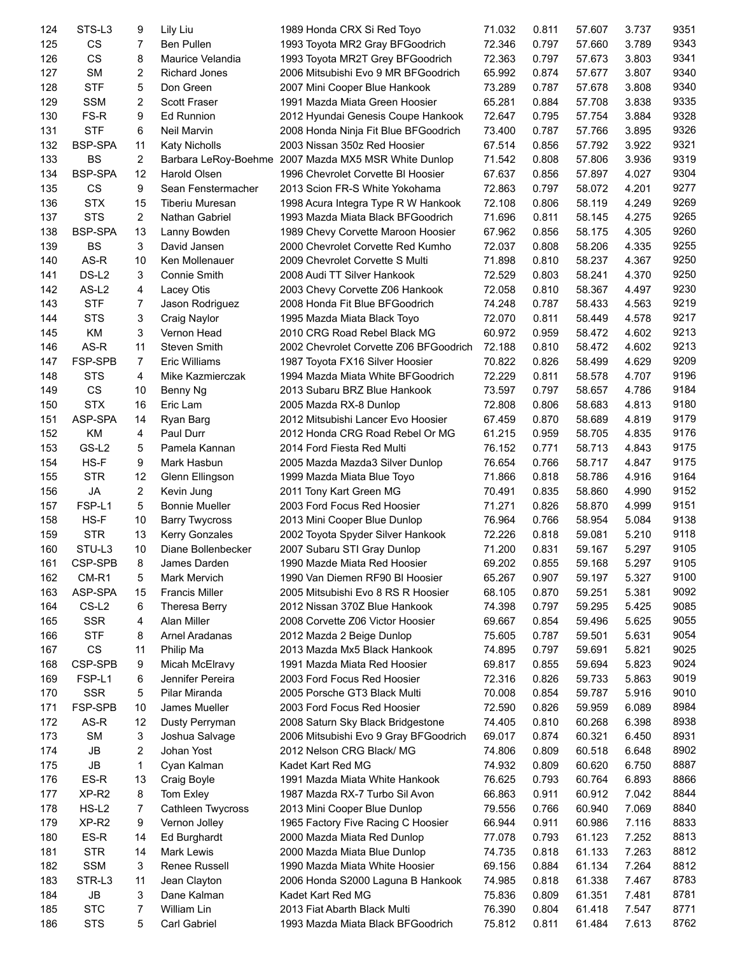| 124 | STS-L3            | 9              | Lily Liu               | 1989 Honda CRX Si Red Toyo             | 71.032 | 0.811 | 57.607 | 3.737 | 9351 |
|-----|-------------------|----------------|------------------------|----------------------------------------|--------|-------|--------|-------|------|
| 125 | CS                | $\overline{7}$ | <b>Ben Pullen</b>      | 1993 Toyota MR2 Gray BFGoodrich        | 72.346 | 0.797 | 57.660 | 3.789 | 9343 |
| 126 | CS                | 8              | Maurice Velandia       | 1993 Toyota MR2T Grey BFGoodrich       | 72.363 | 0.797 | 57.673 | 3.803 | 9341 |
| 127 | <b>SM</b>         | 2              | <b>Richard Jones</b>   | 2006 Mitsubishi Evo 9 MR BFGoodrich    | 65.992 | 0.874 | 57.677 | 3.807 | 9340 |
| 128 | <b>STF</b>        | 5              | Don Green              | 2007 Mini Cooper Blue Hankook          | 73.289 | 0.787 | 57.678 | 3.808 | 9340 |
| 129 | <b>SSM</b>        | 2              | <b>Scott Fraser</b>    | 1991 Mazda Miata Green Hoosier         | 65.281 | 0.884 | 57.708 | 3.838 | 9335 |
| 130 | FS-R              | 9              | <b>Ed Runnion</b>      | 2012 Hyundai Genesis Coupe Hankook     | 72.647 | 0.795 | 57.754 | 3.884 | 9328 |
| 131 | <b>STF</b>        | 6              | Neil Marvin            | 2008 Honda Ninja Fit Blue BFGoodrich   | 73.400 | 0.787 | 57.766 | 3.895 | 9326 |
| 132 | <b>BSP-SPA</b>    | 11             | <b>Katy Nicholls</b>   | 2003 Nissan 350z Red Hoosier           | 67.514 | 0.856 | 57.792 | 3.922 | 9321 |
| 133 | <b>BS</b>         | $\overline{2}$ | Barbara LeRoy-Boehme   | 2007 Mazda MX5 MSR White Dunlop        | 71.542 | 0.808 | 57.806 | 3.936 | 9319 |
| 134 | <b>BSP-SPA</b>    | 12             | Harold Olsen           | 1996 Chevrolet Corvette BI Hoosier     | 67.637 | 0.856 | 57.897 | 4.027 | 9304 |
| 135 | CS                | 9              | Sean Fenstermacher     | 2013 Scion FR-S White Yokohama         | 72.863 | 0.797 | 58.072 | 4.201 | 9277 |
| 136 | <b>STX</b>        | 15             | <b>Tiberiu Muresan</b> | 1998 Acura Integra Type R W Hankook    | 72.108 | 0.806 | 58.119 | 4.249 | 9269 |
| 137 | <b>STS</b>        | $\overline{2}$ | Nathan Gabriel         | 1993 Mazda Miata Black BFGoodrich      | 71.696 | 0.811 | 58.145 | 4.275 | 9265 |
| 138 | <b>BSP-SPA</b>    | 13             | Lanny Bowden           | 1989 Chevy Corvette Maroon Hoosier     | 67.962 | 0.856 | 58.175 | 4.305 | 9260 |
| 139 | <b>BS</b>         | 3              | David Jansen           | 2000 Chevrolet Corvette Red Kumho      | 72.037 | 0.808 | 58.206 | 4.335 | 9255 |
| 140 | AS-R              | 10             | Ken Mollenauer         | 2009 Chevrolet Corvette S Multi        | 71.898 | 0.810 | 58.237 | 4.367 | 9250 |
|     | DS-L <sub>2</sub> | 3              |                        |                                        | 72.529 | 0.803 |        |       | 9250 |
| 141 |                   |                | Connie Smith           | 2008 Audi TT Silver Hankook            |        |       | 58.241 | 4.370 |      |
| 142 | AS-L <sub>2</sub> | 4              | Lacey Otis             | 2003 Chevy Corvette Z06 Hankook        | 72.058 | 0.810 | 58.367 | 4.497 | 9230 |
| 143 | <b>STF</b>        | $\overline{7}$ | Jason Rodriguez        | 2008 Honda Fit Blue BFGoodrich         | 74.248 | 0.787 | 58.433 | 4.563 | 9219 |
| 144 | <b>STS</b>        | 3              | Craig Naylor           | 1995 Mazda Miata Black Toyo            | 72.070 | 0.811 | 58.449 | 4.578 | 9217 |
| 145 | KM                | 3              | Vernon Head            | 2010 CRG Road Rebel Black MG           | 60.972 | 0.959 | 58.472 | 4.602 | 9213 |
| 146 | AS-R              | 11             | <b>Steven Smith</b>    | 2002 Chevrolet Corvette Z06 BFGoodrich | 72.188 | 0.810 | 58.472 | 4.602 | 9213 |
| 147 | FSP-SPB           | $\overline{7}$ | <b>Eric Williams</b>   | 1987 Toyota FX16 Silver Hoosier        | 70.822 | 0.826 | 58.499 | 4.629 | 9209 |
| 148 | <b>STS</b>        | 4              | Mike Kazmierczak       | 1994 Mazda Miata White BFGoodrich      | 72.229 | 0.811 | 58.578 | 4.707 | 9196 |
| 149 | CS                | 10             | Benny Ng               | 2013 Subaru BRZ Blue Hankook           | 73.597 | 0.797 | 58.657 | 4.786 | 9184 |
| 150 | <b>STX</b>        | 16             | Eric Lam               | 2005 Mazda RX-8 Dunlop                 | 72.808 | 0.806 | 58.683 | 4.813 | 9180 |
| 151 | ASP-SPA           | 14             | Ryan Barg              | 2012 Mitsubishi Lancer Evo Hoosier     | 67.459 | 0.870 | 58.689 | 4.819 | 9179 |
| 152 | <b>KM</b>         | 4              | Paul Durr              | 2012 Honda CRG Road Rebel Or MG        | 61.215 | 0.959 | 58.705 | 4.835 | 9176 |
| 153 | GS-L <sub>2</sub> | 5              | Pamela Kannan          | 2014 Ford Fiesta Red Multi             | 76.152 | 0.771 | 58.713 | 4.843 | 9175 |
| 154 | HS-F              | 9              | Mark Hasbun            | 2005 Mazda Mazda3 Silver Dunlop        | 76.654 | 0.766 | 58.717 | 4.847 | 9175 |
| 155 | <b>STR</b>        | 12             | Glenn Ellingson        | 1999 Mazda Miata Blue Toyo             | 71.866 | 0.818 | 58.786 | 4.916 | 9164 |
| 156 | <b>JA</b>         | $\overline{2}$ | Kevin Jung             | 2011 Tony Kart Green MG                | 70.491 | 0.835 | 58.860 | 4.990 | 9152 |
| 157 | FSP-L1            | 5              | <b>Bonnie Mueller</b>  | 2003 Ford Focus Red Hoosier            | 71.271 | 0.826 | 58.870 | 4.999 | 9151 |
| 158 | HS-F              | 10             | <b>Barry Twycross</b>  | 2013 Mini Cooper Blue Dunlop           | 76.964 | 0.766 | 58.954 | 5.084 | 9138 |
| 159 | <b>STR</b>        | 13             | Kerry Gonzales         | 2002 Toyota Spyder Silver Hankook      | 72.226 | 0.818 | 59.081 | 5.210 | 9118 |
| 160 | STU-L3            | 10             | Diane Bollenbecker     | 2007 Subaru STI Gray Dunlop            | 71.200 | 0.831 | 59.167 | 5.297 | 9105 |
| 161 | CSP-SPB           | 8              | James Darden           | 1990 Mazde Miata Red Hoosier           | 69.202 | 0.855 | 59.168 | 5.297 | 9105 |
| 162 | CM-R1             | 5              | <b>Mark Mervich</b>    | 1990 Van Diemen RF90 BI Hoosier        | 65.267 | 0.907 | 59.197 | 5.327 | 9100 |
| 163 | ASP-SPA           | 15             | <b>Francis Miller</b>  | 2005 Mitsubishi Evo 8 RS R Hoosier     | 68.105 | 0.870 | 59.251 | 5.381 | 9092 |
| 164 | CS-L <sub>2</sub> | 6              | Theresa Berry          | 2012 Nissan 370Z Blue Hankook          | 74.398 | 0.797 | 59.295 | 5.425 | 9085 |
| 165 | <b>SSR</b>        | 4              | Alan Miller            | 2008 Corvette Z06 Victor Hoosier       | 69.667 | 0.854 | 59.496 | 5.625 | 9055 |
| 166 | <b>STF</b>        | 8              | Arnel Aradanas         | 2012 Mazda 2 Beige Dunlop              | 75.605 | 0.787 | 59.501 | 5.631 | 9054 |
| 167 | CS                | 11             | Philip Ma              | 2013 Mazda Mx5 Black Hankook           | 74.895 | 0.797 | 59.691 | 5.821 | 9025 |
| 168 | CSP-SPB           | 9              | Micah McElravy         | 1991 Mazda Miata Red Hoosier           | 69.817 | 0.855 | 59.694 | 5.823 | 9024 |
| 169 | FSP-L1            | 6              | Jennifer Pereira       | 2003 Ford Focus Red Hoosier            | 72.316 | 0.826 | 59.733 | 5.863 | 9019 |
| 170 | <b>SSR</b>        |                | Pilar Miranda          |                                        | 70.008 |       |        |       | 9010 |
|     |                   | 5              |                        | 2005 Porsche GT3 Black Multi           |        | 0.854 | 59.787 | 5.916 |      |
| 171 | FSP-SPB           | 10             | James Mueller          | 2003 Ford Focus Red Hoosier            | 72.590 | 0.826 | 59.959 | 6.089 | 8984 |
| 172 | AS-R              | 12             | Dusty Perryman         | 2008 Saturn Sky Black Bridgestone      | 74.405 | 0.810 | 60.268 | 6.398 | 8938 |
| 173 | <b>SM</b>         | 3              | Joshua Salvage         | 2006 Mitsubishi Evo 9 Gray BFGoodrich  | 69.017 | 0.874 | 60.321 | 6.450 | 8931 |
| 174 | JB                | 2              | Johan Yost             | 2012 Nelson CRG Black/ MG              | 74.806 | 0.809 | 60.518 | 6.648 | 8902 |
| 175 | JB                | 1              | Cyan Kalman            | Kadet Kart Red MG                      | 74.932 | 0.809 | 60.620 | 6.750 | 8887 |
| 176 | ES-R              | 13             | Craig Boyle            | 1991 Mazda Miata White Hankook         | 76.625 | 0.793 | 60.764 | 6.893 | 8866 |
| 177 | XP-R <sub>2</sub> | 8              | Tom Exley              | 1987 Mazda RX-7 Turbo Sil Avon         | 66.863 | 0.911 | 60.912 | 7.042 | 8844 |
| 178 | $HS-L2$           | 7              | Cathleen Twycross      | 2013 Mini Cooper Blue Dunlop           | 79.556 | 0.766 | 60.940 | 7.069 | 8840 |
| 179 | XP-R <sub>2</sub> | 9              | Vernon Jolley          | 1965 Factory Five Racing C Hoosier     | 66.944 | 0.911 | 60.986 | 7.116 | 8833 |
| 180 | ES-R              | 14             | Ed Burghardt           | 2000 Mazda Miata Red Dunlop            | 77.078 | 0.793 | 61.123 | 7.252 | 8813 |
| 181 | <b>STR</b>        | 14             | Mark Lewis             | 2000 Mazda Miata Blue Dunlop           | 74.735 | 0.818 | 61.133 | 7.263 | 8812 |
| 182 | <b>SSM</b>        | 3              | Renee Russell          | 1990 Mazda Miata White Hoosier         | 69.156 | 0.884 | 61.134 | 7.264 | 8812 |
| 183 | STR-L3            | 11             | Jean Clayton           | 2006 Honda S2000 Laguna B Hankook      | 74.985 | 0.818 | 61.338 | 7.467 | 8783 |
| 184 | JB                | 3              | Dane Kalman            | Kadet Kart Red MG                      | 75.836 | 0.809 | 61.351 | 7.481 | 8781 |
| 185 | <b>STC</b>        | 7              | William Lin            | 2013 Fiat Abarth Black Multi           | 76.390 | 0.804 | 61.418 | 7.547 | 8771 |
| 186 | <b>STS</b>        | 5              | Carl Gabriel           | 1993 Mazda Miata Black BFGoodrich      | 75.812 | 0.811 | 61.484 | 7.613 | 8762 |
|     |                   |                |                        |                                        |        |       |        |       |      |